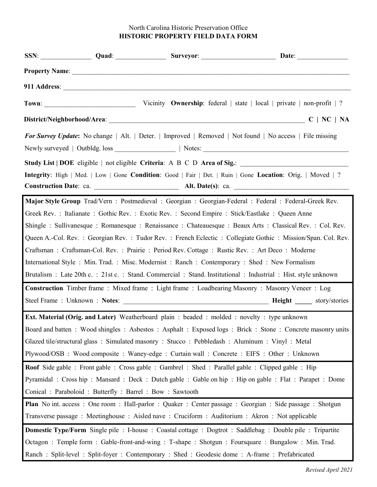## North Carolina Historic Preservation Office **HISTORIC PROPERTY FIELD DATA FORM**

| <b>For Survey Update:</b> No change   Alt.   Deter.   Improved   Removed   Not found   No access   File missing    |  |  |                                                                                                         |
|--------------------------------------------------------------------------------------------------------------------|--|--|---------------------------------------------------------------------------------------------------------|
|                                                                                                                    |  |  |                                                                                                         |
| Study List   DOE eligible   not eligible Criteria: A B C D Area of Sig.: ___________________________               |  |  |                                                                                                         |
| Integrity: High   Med.   Low   Gone Condition: Good   Fair   Det.   Ruin   Gone Location: Orig.   Moved   ?        |  |  |                                                                                                         |
|                                                                                                                    |  |  |                                                                                                         |
|                                                                                                                    |  |  | Major Style Group Trad/Vern : Postmedieval : Georgian : Georgian-Federal : Federal : Federal-Greek Rev. |
| Greek Rev. : Italianate : Gothic Rev. : Exotic Rev. : Second Empire : Stick/Eastlake : Queen Anne                  |  |  |                                                                                                         |
| Shingle: Sullivanesque: Romanesque: Renaissance: Chateauesque: Beaux Arts: Classical Rev.: Col. Rev.               |  |  |                                                                                                         |
| Queen A.-Col. Rev.: Georgian Rev.: Tudor Rev.: French Eclectic: Collegiate Gothic: Mission/Span. Col. Rev.         |  |  |                                                                                                         |
| Craftsman : Craftsman-Col. Rev. : Prairie : Period Rev. Cottage : Rustic Rev. : Art Deco : Moderne                 |  |  |                                                                                                         |
| International Style : Min. Trad. : Misc. Modernist : Ranch : Contemporary : Shed : New Formalism                   |  |  |                                                                                                         |
| Brutalism : Late 20th c. : 21st c. : Stand. Commercial : Stand. Institutional : Industrial : Hist. style unknown   |  |  |                                                                                                         |
| Construction Timber frame: Mixed frame: Light frame: Loadbearing Masonry: Masonry Veneer: Log                      |  |  |                                                                                                         |
|                                                                                                                    |  |  |                                                                                                         |
| Ext. Material (Orig. and Later) Weatherboard plain: beaded: molded: novelty: type unknown                          |  |  |                                                                                                         |
| Board and batten: Wood shingles: Asbestos: Asphalt: Exposed logs: Brick: Stone: Concrete masonry units             |  |  |                                                                                                         |
| Glazed tile/structural glass: Simulated masonry: Stucco: Pebbledash: Aluminum: Vinyl: Metal                        |  |  |                                                                                                         |
| Plywood/OSB : Wood composite : Waney-edge : Curtain wall : Concrete : EIFS : Other : Unknown                       |  |  |                                                                                                         |
| <b>Roof</b> Side gable : Front gable : Cross gable : Gambrel : Shed : Parallel gable : Clipped gable : Hip         |  |  |                                                                                                         |
| Pyramidal: Cross hip: Mansard: Deck: Dutch gable: Gable on hip: Hip on gable: Flat: Parapet: Dome                  |  |  |                                                                                                         |
| Conical : Paraboloid : Butterfly : Barrel : Bow : Sawtooth                                                         |  |  |                                                                                                         |
| Plan No int. access: One room: Hall-parlor: Quaker: Center passage: Georgian: Side passage: Shotgun                |  |  |                                                                                                         |
| Transverse passage: Meetinghouse: Aisled nave: Cruciform: Auditorium: Akron: Not applicable                        |  |  |                                                                                                         |
| <b>Domestic Type/Form</b> Single pile : I-house : Coastal cottage : Dogtrot : Saddlebag : Double pile : Tripartite |  |  |                                                                                                         |
| Octagon: Temple form: Gable-front-and-wing: T-shape: Shotgun: Foursquare: Bungalow: Min. Trad.                     |  |  |                                                                                                         |
| Ranch : Split-level : Split-foyer : Contemporary : Shed : Geodesic dome : A-frame : Prefabricated                  |  |  |                                                                                                         |